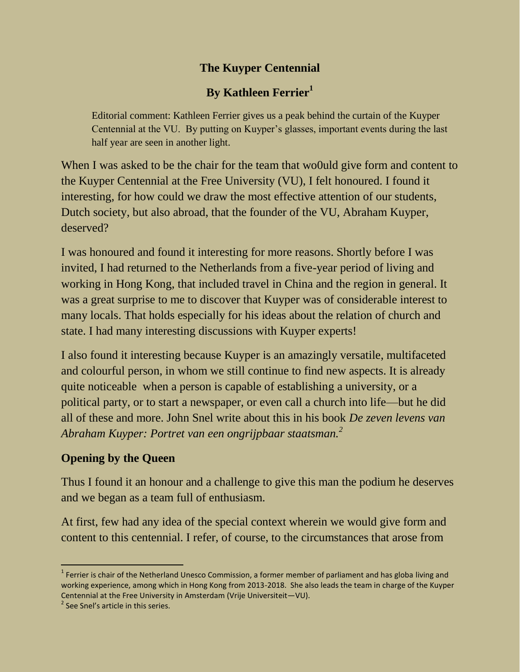## **The Kuyper Centennial**

# **By Kathleen Ferrier<sup>1</sup>**

Editorial comment: Kathleen Ferrier gives us a peak behind the curtain of the Kuyper Centennial at the VU. By putting on Kuyper's glasses, important events during the last half year are seen in another light.

When I was asked to be the chair for the team that woould give form and content to the Kuyper Centennial at the Free University (VU), I felt honoured. I found it interesting, for how could we draw the most effective attention of our students, Dutch society, but also abroad, that the founder of the VU, Abraham Kuyper, deserved?

I was honoured and found it interesting for more reasons. Shortly before I was invited, I had returned to the Netherlands from a five-year period of living and working in Hong Kong, that included travel in China and the region in general. It was a great surprise to me to discover that Kuyper was of considerable interest to many locals. That holds especially for his ideas about the relation of church and state. I had many interesting discussions with Kuyper experts!

I also found it interesting because Kuyper is an amazingly versatile, multifaceted and colourful person, in whom we still continue to find new aspects. It is already quite noticeable when a person is capable of establishing a university, or a political party, or to start a newspaper, or even call a church into life—but he did all of these and more. John Snel write about this in his book *De zeven levens van Abraham Kuyper: Portret van een ongrijpbaar staatsman.<sup>2</sup>*

## **Opening by the Queen**

Thus I found it an honour and a challenge to give this man the podium he deserves and we began as a team full of enthusiasm.

At first, few had any idea of the special context wherein we would give form and content to this centennial. I refer, of course, to the circumstances that arose from

 $\frac{1}{2}$ 

<sup>&</sup>lt;sup>1</sup> Ferrier is chair of the Netherland Unesco Commission, a former member of parliament and has globa living and working experience, among which in Hong Kong from 2013-2018. She also leads the team in charge of the Kuyper Centennial at the Free University in Amsterdam (Vrije Universiteit—VU).

<sup>&</sup>lt;sup>2</sup> See Snel's article in this series.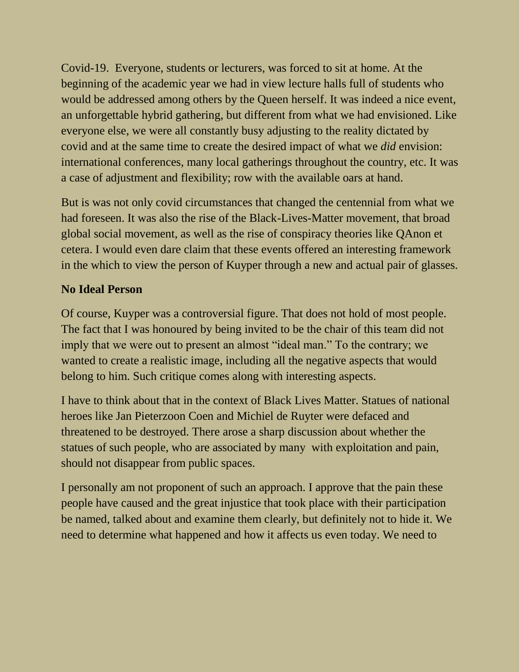Covid-19. Everyone, students or lecturers, was forced to sit at home. At the beginning of the academic year we had in view lecture halls full of students who would be addressed among others by the Queen herself. It was indeed a nice event, an unforgettable hybrid gathering, but different from what we had envisioned. Like everyone else, we were all constantly busy adjusting to the reality dictated by covid and at the same time to create the desired impact of what we *did* envision: international conferences, many local gatherings throughout the country, etc. It was a case of adjustment and flexibility; row with the available oars at hand.

But is was not only covid circumstances that changed the centennial from what we had foreseen. It was also the rise of the Black-Lives-Matter movement, that broad global social movement, as well as the rise of conspiracy theories like QAnon et cetera. I would even dare claim that these events offered an interesting framework in the which to view the person of Kuyper through a new and actual pair of glasses.

### **No Ideal Person**

Of course, Kuyper was a controversial figure. That does not hold of most people. The fact that I was honoured by being invited to be the chair of this team did not imply that we were out to present an almost "ideal man." To the contrary; we wanted to create a realistic image, including all the negative aspects that would belong to him. Such critique comes along with interesting aspects.

I have to think about that in the context of Black Lives Matter. Statues of national heroes like Jan Pieterzoon Coen and Michiel de Ruyter were defaced and threatened to be destroyed. There arose a sharp discussion about whether the statues of such people, who are associated by many with exploitation and pain, should not disappear from public spaces.

I personally am not proponent of such an approach. I approve that the pain these people have caused and the great injustice that took place with their participation be named, talked about and examine them clearly, but definitely not to hide it. We need to determine what happened and how it affects us even today. We need to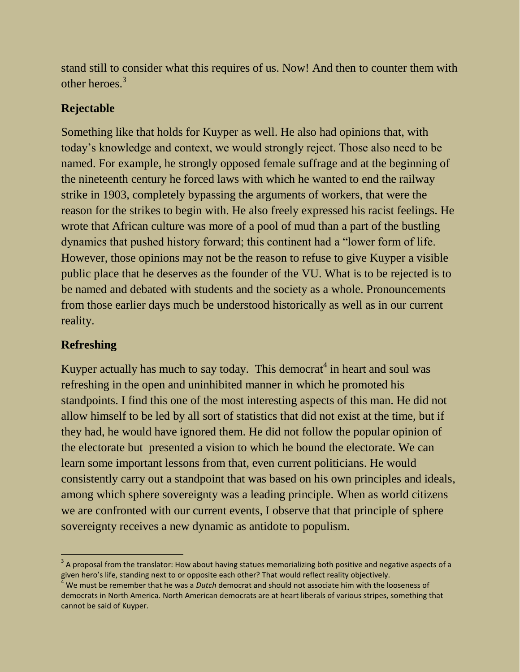stand still to consider what this requires of us. Now! And then to counter them with other heroes.<sup>3</sup>

## **Rejectable**

Something like that holds for Kuyper as well. He also had opinions that, with today's knowledge and context, we would strongly reject. Those also need to be named. For example, he strongly opposed female suffrage and at the beginning of the nineteenth century he forced laws with which he wanted to end the railway strike in 1903, completely bypassing the arguments of workers, that were the reason for the strikes to begin with. He also freely expressed his racist feelings. He wrote that African culture was more of a pool of mud than a part of the bustling dynamics that pushed history forward; this continent had a "lower form of life. However, those opinions may not be the reason to refuse to give Kuyper a visible public place that he deserves as the founder of the VU. What is to be rejected is to be named and debated with students and the society as a whole. Pronouncements from those earlier days much be understood historically as well as in our current reality.

### **Refreshing**

Kuyper actually has much to say today. This democrat<sup>4</sup> in heart and soul was refreshing in the open and uninhibited manner in which he promoted his standpoints. I find this one of the most interesting aspects of this man. He did not allow himself to be led by all sort of statistics that did not exist at the time, but if they had, he would have ignored them. He did not follow the popular opinion of the electorate but presented a vision to which he bound the electorate. We can learn some important lessons from that, even current politicians. He would consistently carry out a standpoint that was based on his own principles and ideals, among which sphere sovereignty was a leading principle. When as world citizens we are confronted with our current events, I observe that that principle of sphere sovereignty receives a new dynamic as antidote to populism.

 $^3$  A proposal from the translator: How about having statues memorializing both positive and negative aspects of a given hero's life, standing next to or opposite each other? That would reflect reality objectively.

<sup>4</sup> We must be remember that he was a *Dutch* democrat and should not associate him with the looseness of democrats in North America. North American democrats are at heart liberals of various stripes, something that cannot be said of Kuyper.